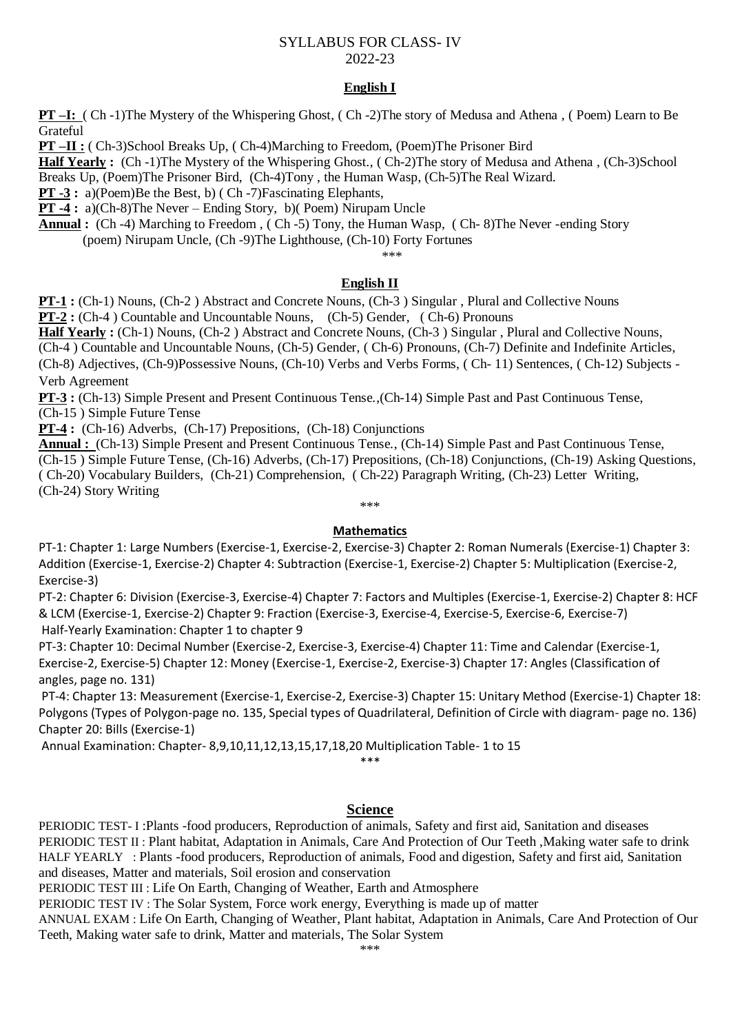### SYLLABUS FOR CLASS- IV 2022-23

### **English I**

**PT –I:** ( Ch -1)The Mystery of the Whispering Ghost, ( Ch -2)The story of Medusa and Athena , ( Poem) Learn to Be **Grateful** 

**PT –II :** ( Ch-3)School Breaks Up, ( Ch-4)Marching to Freedom, (Poem)The Prisoner Bird

**Half Yearly :** (Ch -1)The Mystery of the Whispering Ghost., ( Ch-2)The story of Medusa and Athena , (Ch-3)School Breaks Up, (Poem)The Prisoner Bird, (Ch-4)Tony , the Human Wasp, (Ch-5)The Real Wizard.

**PT -3** : a)(Poem)Be the Best, b) (Ch -7)Fascinating Elephants,

**PT -4 :** a)(Ch-8)The Never – Ending Story, b)( Poem) Nirupam Uncle

**Annual :** (Ch -4) Marching to Freedom , ( Ch -5) Tony, the Human Wasp, ( Ch- 8)The Never -ending Story (poem) Nirupam Uncle, (Ch -9)The Lighthouse, (Ch-10) Forty Fortunes

\*\*\*

#### **English II**

**PT-1** : (Ch-1) Nouns, (Ch-2) Abstract and Concrete Nouns, (Ch-3) Singular, Plural and Collective Nouns

**PT-2 :** (Ch-4 ) Countable and Uncountable Nouns, (Ch-5) Gender, ( Ch-6) Pronouns

**Half Yearly :** (Ch-1) Nouns, (Ch-2 ) Abstract and Concrete Nouns, (Ch-3 ) Singular , Plural and Collective Nouns,

(Ch-4 ) Countable and Uncountable Nouns, (Ch-5) Gender, ( Ch-6) Pronouns, (Ch-7) Definite and Indefinite Articles,

(Ch-8) Adjectives, (Ch-9)Possessive Nouns, (Ch-10) Verbs and Verbs Forms, ( Ch- 11) Sentences, ( Ch-12) Subjects - Verb Agreement

**PT-3 :** (Ch-13) Simple Present and Present Continuous Tense.,(Ch-14) Simple Past and Past Continuous Tense, (Ch-15 ) Simple Future Tense

**PT-4 :** (Ch-16) Adverbs, (Ch-17) Prepositions, (Ch-18) Conjunctions

**Annual :** (Ch-13) Simple Present and Present Continuous Tense., (Ch-14) Simple Past and Past Continuous Tense, (Ch-15 ) Simple Future Tense, (Ch-16) Adverbs, (Ch-17) Prepositions, (Ch-18) Conjunctions, (Ch-19) Asking Questions, ( Ch-20) Vocabulary Builders, (Ch-21) Comprehension, ( Ch-22) Paragraph Writing, (Ch-23) Letter Writing, (Ch-24) Story Writing

\*\*\*

#### **Mathematics**

PT-1: Chapter 1: Large Numbers (Exercise-1, Exercise-2, Exercise-3) Chapter 2: Roman Numerals (Exercise-1) Chapter 3: Addition (Exercise-1, Exercise-2) Chapter 4: Subtraction (Exercise-1, Exercise-2) Chapter 5: Multiplication (Exercise-2, Exercise-3)

PT-2: Chapter 6: Division (Exercise-3, Exercise-4) Chapter 7: Factors and Multiples (Exercise-1, Exercise-2) Chapter 8: HCF & LCM (Exercise-1, Exercise-2) Chapter 9: Fraction (Exercise-3, Exercise-4, Exercise-5, Exercise-6, Exercise-7) Half-Yearly Examination: Chapter 1 to chapter 9

PT-3: Chapter 10: Decimal Number (Exercise-2, Exercise-3, Exercise-4) Chapter 11: Time and Calendar (Exercise-1, Exercise-2, Exercise-5) Chapter 12: Money (Exercise-1, Exercise-2, Exercise-3) Chapter 17: Angles (Classification of angles, page no. 131)

PT-4: Chapter 13: Measurement (Exercise-1, Exercise-2, Exercise-3) Chapter 15: Unitary Method (Exercise-1) Chapter 18: Polygons (Types of Polygon-page no. 135, Special types of Quadrilateral, Definition of Circle with diagram- page no. 136) Chapter 20: Bills (Exercise-1)

Annual Examination: Chapter- 8,9,10,11,12,13,15,17,18,20 Multiplication Table- 1 to 15

\*\*\*

#### **Science**

PERIODIC TEST- I :Plants -food producers, Reproduction of animals, Safety and first aid, Sanitation and diseases PERIODIC TEST II : Plant habitat, Adaptation in Animals, Care And Protection of Our Teeth ,Making water safe to drink HALF YEARLY : Plants -food producers, Reproduction of animals, Food and digestion, Safety and first aid, Sanitation and diseases, Matter and materials, Soil erosion and conservation

PERIODIC TEST III : Life On Earth, Changing of Weather, Earth and Atmosphere

PERIODIC TEST IV : The Solar System, Force work energy, Everything is made up of matter

ANNUAL EXAM : Life On Earth, Changing of Weather, Plant habitat, Adaptation in Animals, Care And Protection of Our Teeth, Making water safe to drink, Matter and materials, The Solar System